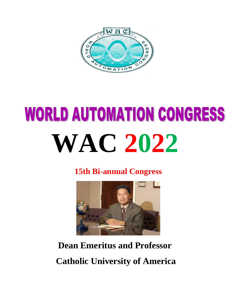

## **WORLD AUTOMATION CONGRESS WAC 2022**

**15th Bi-annual Congress**



**Dean Emeritus and Professor Catholic University of America**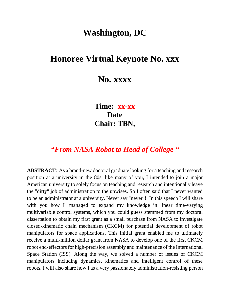## **Washington, DC**

## **Honoree Virtual Keynote No. xxx**

**No. xxxx**

**Time: xx-xx Date Chair: TBN,** 

## *"From NASA Robot to Head of College "*

**ABSTRACT**: As a brand-new doctoral graduate looking for a teaching and research position at a university in the 80s, like many of you, I intended to join a major American university to solely focus on teaching and research and intentionally leave the "dirty" job of administration to the unwises. So I often said that I never wanted to be an administrator at a university. Never say "never"! In this speech I will share with you how I managed to expand my knowledge in linear time-varying multivariable control systems, which you could guess stemmed from my doctoral dissertation to obtain my first grant as a small purchase from NASA to investigate closed-kinematic chain mechanism (CKCM) for potential development of robot manipulators for space applications. This initial grant enabled me to ultimately receive a multi-million dollar grant from NASA to develop one of the first CKCM robot end-effectors for high-precision assembly and maintenance of the International Space Station (ISS). Along the way, we solved a number of issues of CKCM manipulators including dynamics, kinematics and intelligent control of these robots. I will also share how I as a very passionately administration-resisting person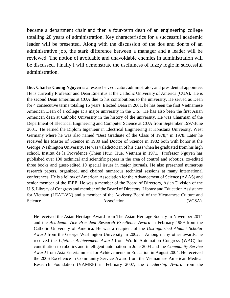became a department chair and then a four-term dean of an engineering college totalling 20 years of administration. Key characteristics for a successful academic leader will be presented. Along with the discussion of the dos and don'ts of an administrative job, the stark difference between a manager and a leader will be reviewed. The notion of avoidable and unavoidable enemies in administration will be discussed. Finally I will demonstrate the usefulness of fuzzy logic in successful administration.

**Bio: Charles Cuong Nguyen** is a researcher, educator, administrator, and presidential appointee. He is currently Professor and Dean Emeritus at the Catholic University of America (CUA). He is the second Dean Emeritus at CUA due to his contributions to the university. He served as Dean for 4 consecutive terms totaling 16 years. Elected Dean in 2001, he has been the first Vietnamese American Dean of a college at a major university in the U.S. He has also been the first Asian American dean at Catholic University in the history of the university. He was Chairman of the Department of Electrical Engineering and Computer Science at CUA from September 1997-June 2001. He earned the Diplom Ingenieur in Electrical Engineering at Konstanz University, West Germany where he was also named "Best Graduate of the Class of 1978," in 1978. Later he received his Master of Science in 1980 and Doctor of Science in 1982 both with honor at the George Washington University. He was valedictorian of his class when he graduated from his high school, Institut de la Providence (Thien Huu), Hue, Vietnam in 1971. Professor Nguyen has published over 100 technical and scientific papers in the area of control and robotics, co-edited three books and guest-edited 10 special issues in major journals. He also presented numerous research papers, organized, and chaired numerous technical sessions at many international conferences. He is a fellow of American Association for the Advancement of Science (AAAS) and senior member of the IEEE. He was a member of the Board of Directors, Asian Division of the U.S. Library of Congress and member of the Board of Directors, Library and Education Assistance for Vietnam (LEAF-VN) and a member of the Advisory Board of the Vietnamese Culture and Science Association (VCSA).

He received the Asian Heritage Award from The Asian Heritage Society in November 2014 and the *Academic Vice President Research Excellence Award* in February 1989 from the Catholic University of America. He was a recipient of the *Distinguished Alumni Scholar Award* from the George Washington University in 2002. Among many other awards, he received the *Lifetime Achievement Award* from World Automation Congress (WAC) for contribution to robotics and intelligent automation in June 2004 and the *Community Service Award* from Asia Entertainment for Achievements in Education in August 2004. He received the 2006 Excellence in Community Service Award from the Vietnamese American Medical Research Foundation (VAMRF) in February 2007, the *Leadership Award* from the